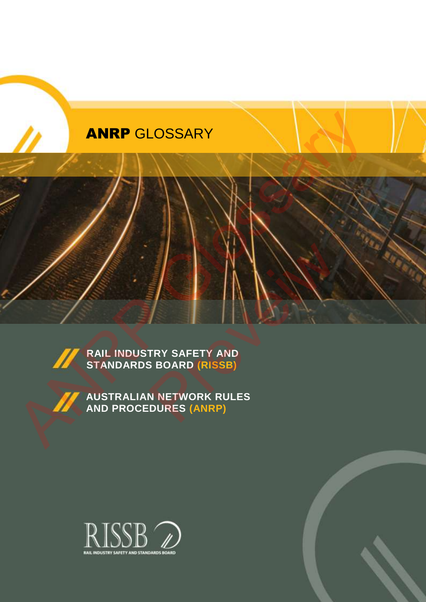# ANRP GLOSSARY



**RAIL INDUSTRY SAFETY AND STANDARDS BOARD (RISSB)**



**AUSTRALIAN NETWORK RULES AND PROCEDURES (ANRP)** ANRP GLOSSARY<br>
AND CONSTANT SAFETY AND TRY SAFETY AND